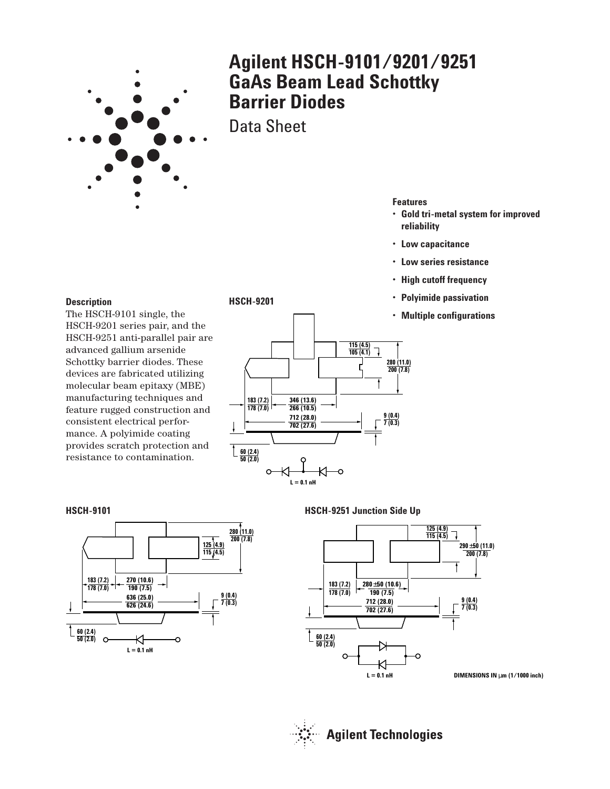

# **Agilent HSCH-9101/9201/9251 GaAs Beam Lead Schottky Barrier Diodes**

Data Sheet

**HSCH-9201**

## **Features**

- **Gold tri-metal system for improved reliability**
- **Low capacitance**
- **Low series resistance**
- **High cutoff frequency**
- **Polyimide passivation**
- **Multiple configurations**

#### **Description**

The HSCH-9101 single, the HSCH-9201 series pair, and the HSCH-9251 anti-parallel pair are advanced gallium arsenide Schottky barrier diodes. These devices are fabricated utilizing molecular beam epitaxy (MBE) manufacturing techniques and feature rugged construction and consistent electrical performance. A polyimide coating provides scratch protection and resistance to contamination.



# **HSCH-9101**



#### **HSCH-9251 Junction Side Up**



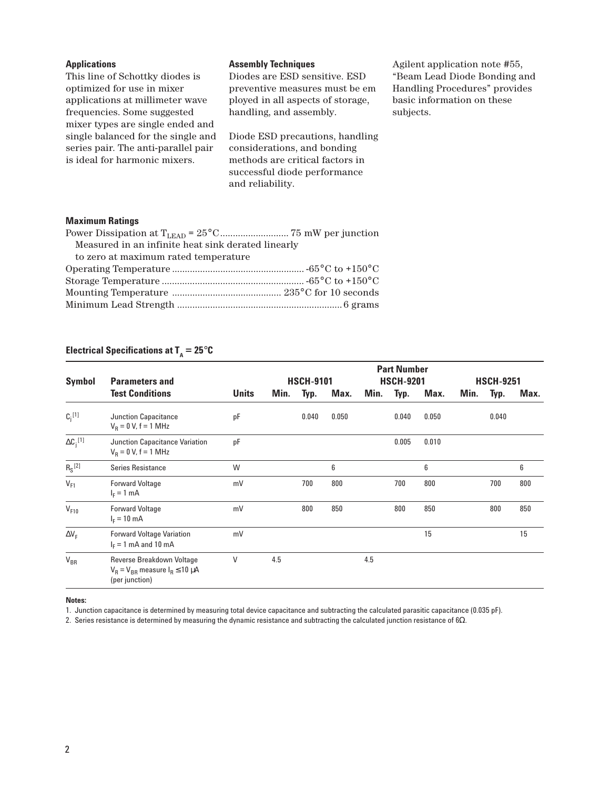| <b>Applications</b>                                                                                        | <b>Assembly Techniques</b>                                                                            | Agilent application note #55,                                                               |
|------------------------------------------------------------------------------------------------------------|-------------------------------------------------------------------------------------------------------|---------------------------------------------------------------------------------------------|
| This line of Schottky diodes is<br>optimized for use in mixer<br>applications at millimeter wave           | Diodes are ESD sensitive. ESD<br>preventive measures must be em-<br>ployed in all aspects of storage, | "Beam Lead Diode Bonding and<br>Handling Procedures" provides<br>basic information on these |
| frequencies. Some suggested<br>mixer types are single ended and                                            | handling, and assembly.                                                                               | subjects.                                                                                   |
| single balanced for the single and<br>series pair. The anti-parallel pair<br>is ideal for harmonic mixers. | Diode ESD precautions, handling<br>considerations, and bonding<br>methods are critical factors in     |                                                                                             |
|                                                                                                            | successful diode performance<br>and reliability.                                                      |                                                                                             |

# **Maximum Ratings**

| Measured in an infinite heat sink derated linearly |  |
|----------------------------------------------------|--|
| to zero at maximum rated temperature               |  |
|                                                    |  |
|                                                    |  |
|                                                    |  |
|                                                    |  |

# **Electrical Specifications at**  $T_A = 25^\circ \text{C}$

| <b>Symbol</b>      | <b>Parameters and</b>                                                                    |              | <b>Part Number</b><br><b>HSCH-9101</b><br><b>HSCH-9201</b><br><b>HSCH-9251</b> |       |       |      |       |       |      |       |      |
|--------------------|------------------------------------------------------------------------------------------|--------------|--------------------------------------------------------------------------------|-------|-------|------|-------|-------|------|-------|------|
|                    | <b>Test Conditions</b>                                                                   | <b>Units</b> | Min.                                                                           | Typ.  | Max.  | Min. | Typ.  | Max.  | Min. | Typ.  | Max. |
| $C_i^{[1]}$        | Junction Capacitance<br>$V_R = 0 V, f = 1 MHz$                                           | pF           |                                                                                | 0.040 | 0.050 |      | 0.040 | 0.050 |      | 0.040 |      |
| $\Delta C_i^{[1]}$ | Junction Capacitance Variation<br>$V_R = 0 V, f = 1 MHz$                                 | pF           |                                                                                |       |       |      | 0.005 | 0.010 |      |       |      |
| $R_S^{[2]}$        | <b>Series Resistance</b>                                                                 | W            |                                                                                |       | 6     |      |       | 6     |      |       | 6    |
| $V_{F1}$           | <b>Forward Voltage</b><br>$IE = 1 mA$                                                    | mV           |                                                                                | 700   | 800   |      | 700   | 800   |      | 700   | 800  |
| $V_{F10}$          | <b>Forward Voltage</b><br>$I_F = 10 \text{ mA}$                                          | mV           |                                                                                | 800   | 850   |      | 800   | 850   |      | 800   | 850  |
| $\Delta V_F$       | <b>Forward Voltage Variation</b><br>$I_F = 1$ mA and 10 mA                               | mV           |                                                                                |       |       |      |       | 15    |      |       | 15   |
| $V_{BR}$           | Reverse Breakdown Voltage<br>$V_R = V_{BR}$ measure $I_R \le 10 \mu A$<br>(per junction) | V            | 4.5                                                                            |       |       | 4.5  |       |       |      |       |      |

## **Notes:**

1. Junction capacitance is determined by measuring total device capacitance and subtracting the calculated parasitic capacitance (0.035 pF).

2. Series resistance is determined by measuring the dynamic resistance and subtracting the calculated junction resistance of  $6Ω$ .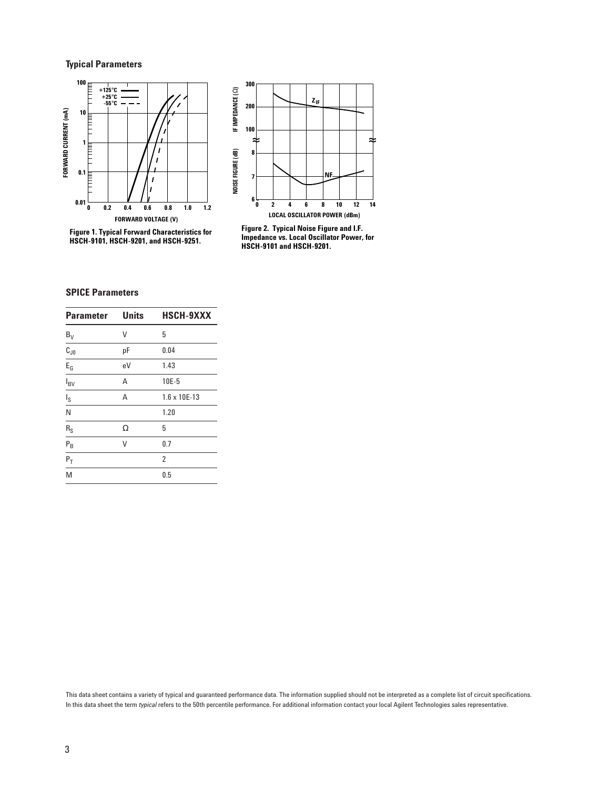# **Typical Parameters**



**Figure 1. Typical Forward Characteristics for HSCH-9101, HSCH-9201, and HSCH-9251.**



**Figure 2. Typical Noise Figure and I.F. Impedance vs. Local Oscillator Power, for HSCH-9101 and HSCH-9201.**

# **SPICE Parameters**

| <b>Parameter</b>        | <b>Units</b> | <b>HSCH-9XXX</b>      |
|-------------------------|--------------|-----------------------|
| $B_V$                   | ۷            | 5                     |
| $\overline{C_{J0}}$     | pF           | 0.04                  |
| $E_G$                   | eV           | 1.43                  |
| $I_{BV}$                | Α            | 10E-5                 |
| $I_{\rm S}$             | A            | $1.6 \times 10E - 13$ |
| N                       |              | 1.20                  |
| $\mathsf{R}_\mathsf{S}$ | Ω            | 5                     |
| $P_B$                   | ٧            | 0.7                   |
| $P_T$                   |              | $\overline{2}$        |
| M                       |              | 0.5                   |

This data sheet contains a variety of typical and guaranteed performance data. The information supplied should not be interpreted as a complete list of circuit specifications. In this data sheet the term *typical* refers to the 50th percentile performance. For additional information contact your local Agilent Technologies sales representative.